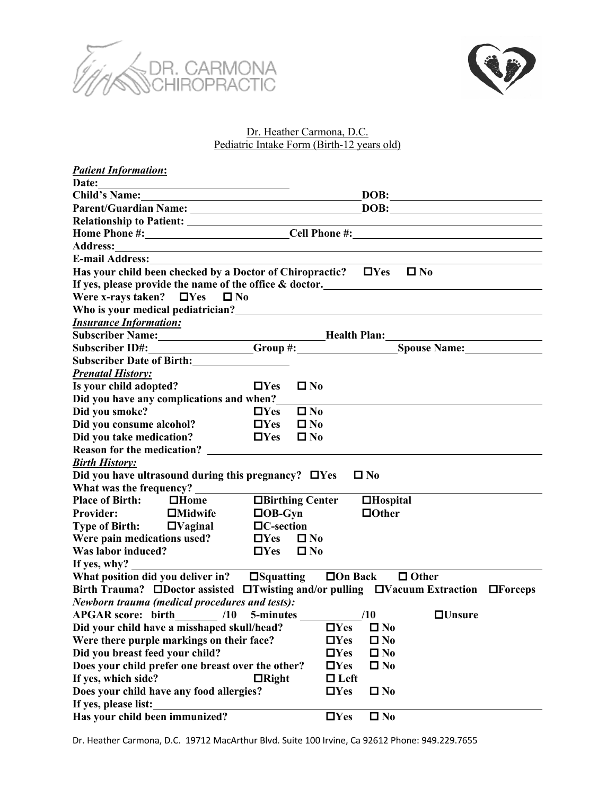



## Dr. Heather Carmona, D.C. Pediatric Intake Form (Birth-12 years old)

| <b>Patient Information:</b>                                                                                                                                                                                                    |                                                                                                                       |  |  |  |  |  |
|--------------------------------------------------------------------------------------------------------------------------------------------------------------------------------------------------------------------------------|-----------------------------------------------------------------------------------------------------------------------|--|--|--|--|--|
| Date:                                                                                                                                                                                                                          |                                                                                                                       |  |  |  |  |  |
| Child's Name: 1988                                                                                                                                                                                                             | DOB:                                                                                                                  |  |  |  |  |  |
|                                                                                                                                                                                                                                | DOB:                                                                                                                  |  |  |  |  |  |
|                                                                                                                                                                                                                                | <u> 1980 - Johann Barn, mars ann an t-Amhain Aonaichte ann an t-Aonaichte ann an t-Aonaichte ann an t-Aonaichte a</u> |  |  |  |  |  |
|                                                                                                                                                                                                                                | Home Phone #: Cell Phone #:                                                                                           |  |  |  |  |  |
| Address: No. 1996. The Committee of the Committee of the Committee of the Committee of the Committee of the Committee of the Committee of the Committee of the Committee of the Committee of the Committee of the Committee of |                                                                                                                       |  |  |  |  |  |
|                                                                                                                                                                                                                                |                                                                                                                       |  |  |  |  |  |
| Has your child been checked by a Doctor of Chiropractic? $\Box$ Yes $\Box$ No                                                                                                                                                  |                                                                                                                       |  |  |  |  |  |
| If yes, please provide the name of the office & doctor.<br><u>If</u> yes, please provide the name of the office & doctor.                                                                                                      |                                                                                                                       |  |  |  |  |  |
| Were x-rays taken? $\Box$ Yes $\Box$ No                                                                                                                                                                                        |                                                                                                                       |  |  |  |  |  |
| Who is your medical pediatrician?<br><u> Who is your medical pediatrician?</u>                                                                                                                                                 |                                                                                                                       |  |  |  |  |  |
| <b>Insurance Information:</b>                                                                                                                                                                                                  |                                                                                                                       |  |  |  |  |  |
|                                                                                                                                                                                                                                | Subscriber Name: Manuel Manuel Mealth Plan: Mealth Plan:                                                              |  |  |  |  |  |
|                                                                                                                                                                                                                                | Subscriber ID#: Group #: Spouse Name:                                                                                 |  |  |  |  |  |
| Subscriber Date of Birth:                                                                                                                                                                                                      |                                                                                                                       |  |  |  |  |  |
| <b>Prenatal History:</b>                                                                                                                                                                                                       |                                                                                                                       |  |  |  |  |  |
| Is your child adopted?<br>$\Box$ Yes                                                                                                                                                                                           | $\square$ No                                                                                                          |  |  |  |  |  |
| Did you have any complications and when?_                                                                                                                                                                                      |                                                                                                                       |  |  |  |  |  |
| Did you smoke?<br>$\square$ Yes                                                                                                                                                                                                | $\square$ No                                                                                                          |  |  |  |  |  |
| Did you consume alcohol?<br>$\Box$ Yes                                                                                                                                                                                         | $\square$ No                                                                                                          |  |  |  |  |  |
| Did you take medication?<br>$\square$ Yes                                                                                                                                                                                      | $\square$ No                                                                                                          |  |  |  |  |  |
| <b>Reason for the medication?</b>                                                                                                                                                                                              |                                                                                                                       |  |  |  |  |  |
| <b>Birth History:</b>                                                                                                                                                                                                          |                                                                                                                       |  |  |  |  |  |
| Did you have ultrasound during this pregnancy? $\Box$ Yes                                                                                                                                                                      | $\square$ No                                                                                                          |  |  |  |  |  |
| What was the frequency?                                                                                                                                                                                                        |                                                                                                                       |  |  |  |  |  |
| □Birthing Center<br><b>Place of Birth:</b> $\Box$ <b>Home</b>                                                                                                                                                                  | <b>IHospital</b>                                                                                                      |  |  |  |  |  |
| $\Box$ OB-Gyn<br><b>Provider:</b><br>$\Box$ Midwife                                                                                                                                                                            | $\Box$ Other                                                                                                          |  |  |  |  |  |
| Type of Birth: $\Box \nabla$ aginal<br>$\Box C$ -section                                                                                                                                                                       |                                                                                                                       |  |  |  |  |  |
| Were pain medications used?<br>$\square$ Yes                                                                                                                                                                                   | $\square$ No                                                                                                          |  |  |  |  |  |
| <b>Was labor induced?</b><br>$\Box$ Yes                                                                                                                                                                                        | $\square$ No                                                                                                          |  |  |  |  |  |
| If yes, why? $\overline{\phantom{a}}$                                                                                                                                                                                          |                                                                                                                       |  |  |  |  |  |
| What position did you deliver in? $\Box$ Squatting $\Box$ On Back $\Box$ Other                                                                                                                                                 |                                                                                                                       |  |  |  |  |  |
| Birth Trauma? ODoctor assisted OTwisting and/or pulling OVacuum Extraction OForceps                                                                                                                                            |                                                                                                                       |  |  |  |  |  |
| <b>Newborn trauma (medical procedures and tests):</b>                                                                                                                                                                          |                                                                                                                       |  |  |  |  |  |
| APGAR score: birth_________ /10 5-minutes ________                                                                                                                                                                             | $\Box$ Unsure<br>10                                                                                                   |  |  |  |  |  |
| Did your child have a misshaped skull/head?                                                                                                                                                                                    | $\Box$ No<br>$\square$ Yes                                                                                            |  |  |  |  |  |
| Were there purple markings on their face?                                                                                                                                                                                      | $\square$ Yes<br>$\Box$ No                                                                                            |  |  |  |  |  |
| Did you breast feed your child?                                                                                                                                                                                                | $\Box$ Yes<br>$\Box$ No                                                                                               |  |  |  |  |  |
| Does your child prefer one breast over the other?                                                                                                                                                                              | $\square$ Yes<br>$\Box$ No                                                                                            |  |  |  |  |  |
| If yes, which side?<br>$\Box$ Right                                                                                                                                                                                            | $\Box$ Left                                                                                                           |  |  |  |  |  |
| Does your child have any food allergies?                                                                                                                                                                                       | $\square$ Yes<br>$\Box$ No                                                                                            |  |  |  |  |  |
| If yes, please list:                                                                                                                                                                                                           |                                                                                                                       |  |  |  |  |  |
| Has your child been immunized?                                                                                                                                                                                                 | $\square$ Yes<br>$\Box$ No                                                                                            |  |  |  |  |  |

Dr. Heather Carmona, D.C. 19712 MacArthur Blvd. Suite 100 Irvine, Ca 92612 Phone: 949.229.7655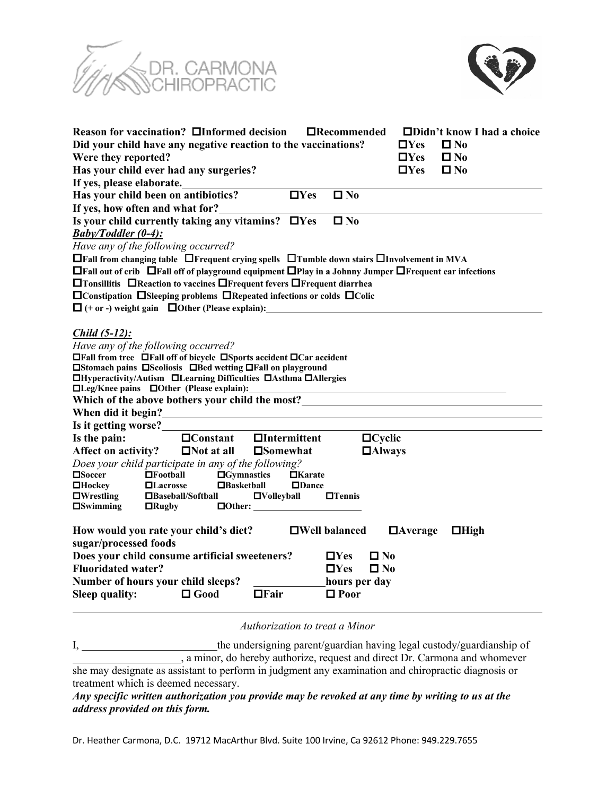



|                                                                                                                                                                                                                                                                                                                                                                                                                                                                                                | Reason for vaccination? □Informed decision                                                                                                                                       |                                                                     | $\Box$ Recommended                                                                                    |                | $\Box$ Didn't know I had a choice |  |  |
|------------------------------------------------------------------------------------------------------------------------------------------------------------------------------------------------------------------------------------------------------------------------------------------------------------------------------------------------------------------------------------------------------------------------------------------------------------------------------------------------|----------------------------------------------------------------------------------------------------------------------------------------------------------------------------------|---------------------------------------------------------------------|-------------------------------------------------------------------------------------------------------|----------------|-----------------------------------|--|--|
| Did your child have any negative reaction to the vaccinations?                                                                                                                                                                                                                                                                                                                                                                                                                                 |                                                                                                                                                                                  |                                                                     | $\Box$ Yes                                                                                            | $\square$ No   |                                   |  |  |
| Were they reported?                                                                                                                                                                                                                                                                                                                                                                                                                                                                            |                                                                                                                                                                                  |                                                                     |                                                                                                       | $\square$ Yes  | $\Box$ No                         |  |  |
|                                                                                                                                                                                                                                                                                                                                                                                                                                                                                                | Has your child ever had any surgeries?                                                                                                                                           |                                                                     |                                                                                                       | $\Box$ Yes     | $\Box$ No                         |  |  |
| If yes, please elaborate.                                                                                                                                                                                                                                                                                                                                                                                                                                                                      |                                                                                                                                                                                  |                                                                     |                                                                                                       |                |                                   |  |  |
|                                                                                                                                                                                                                                                                                                                                                                                                                                                                                                | Has your child been on antibiotics?                                                                                                                                              | $\Box$ Yes                                                          | $\square$ No                                                                                          |                |                                   |  |  |
| If yes, how often and what for?                                                                                                                                                                                                                                                                                                                                                                                                                                                                |                                                                                                                                                                                  |                                                                     |                                                                                                       |                |                                   |  |  |
|                                                                                                                                                                                                                                                                                                                                                                                                                                                                                                | Is your child currently taking any vitamins? $\Box$ Yes                                                                                                                          |                                                                     | $\square$ No                                                                                          |                |                                   |  |  |
| $Baby/Toddler (0-4)$ :                                                                                                                                                                                                                                                                                                                                                                                                                                                                         |                                                                                                                                                                                  |                                                                     |                                                                                                       |                |                                   |  |  |
|                                                                                                                                                                                                                                                                                                                                                                                                                                                                                                | Have any of the following occurred?                                                                                                                                              |                                                                     |                                                                                                       |                |                                   |  |  |
| □Fall from changing table □Frequent crying spells □Tumble down stairs □Involvement in MVA                                                                                                                                                                                                                                                                                                                                                                                                      |                                                                                                                                                                                  |                                                                     |                                                                                                       |                |                                   |  |  |
| $\Box$ Fall out of crib $\Box$ Fall off of playground equipment $\Box$ Play in a Johnny Jumper $\Box$ Frequent ear infections                                                                                                                                                                                                                                                                                                                                                                  |                                                                                                                                                                                  |                                                                     |                                                                                                       |                |                                   |  |  |
| □Tonsillitis □Reaction to vaccines □Frequent fevers □Frequent diarrhea                                                                                                                                                                                                                                                                                                                                                                                                                         |                                                                                                                                                                                  |                                                                     |                                                                                                       |                |                                   |  |  |
| $\Box$ Constipation $\Box$ Sleeping problems $\Box$ Repeated infections or colds $\Box$ Colic                                                                                                                                                                                                                                                                                                                                                                                                  |                                                                                                                                                                                  |                                                                     |                                                                                                       |                |                                   |  |  |
| $\Box$ (+ or -) weight gain $\Box$ Other (Please explain):                                                                                                                                                                                                                                                                                                                                                                                                                                     |                                                                                                                                                                                  |                                                                     |                                                                                                       |                |                                   |  |  |
| <i>Child (5-12):</i><br>Have any of the following occurred?<br>$\Box$ Fall from tree $\Box$ Fall off of bicycle $\Box$ Sports accident $\Box$ Car accident<br>□Stomach pains □Scoliosis □Bed wetting □Fall on playground<br>□Hyperactivity/Autism □Learning Difficulties □Asthma □Allergies<br>□Leg/Knee pains □Other (Please explain):<br>Which of the above bothers your child the most?<br>When did it begin?<br><u> 1989 - Johann Harry Barn, mars ar breist fan de Fryske kommunent (</u> |                                                                                                                                                                                  |                                                                     |                                                                                                       |                |                                   |  |  |
| Is it getting worse?                                                                                                                                                                                                                                                                                                                                                                                                                                                                           |                                                                                                                                                                                  |                                                                     |                                                                                                       |                |                                   |  |  |
| Is the pain:                                                                                                                                                                                                                                                                                                                                                                                                                                                                                   | $\Box$ Constant                                                                                                                                                                  | $\Box$ Intermittent                                                 | $\Box$ Cyclic                                                                                         |                |                                   |  |  |
| Affect on activity?                                                                                                                                                                                                                                                                                                                                                                                                                                                                            | $\Box$ Not at all                                                                                                                                                                | $\square$ Somewhat                                                  | $\Box$ Always                                                                                         |                |                                   |  |  |
| <b>□</b> Soccer<br>$\Box$ Hockey<br>$\Box$ Wrestling<br>$\Box$ Swimming                                                                                                                                                                                                                                                                                                                                                                                                                        | Does your child participate in any of the following?<br>$\Box$ Football<br>$\Box$ Gymnastics<br>$\Box$ Basketball<br>$\Box$ Lacrosse<br>$\Box$ Baseball/Softball<br>$\Box$ Rugby | $\Box$ Karate<br>$\Box$ Dance<br>$\Box$ Volleyball<br>$\Box$ Other: | $\Box$ Tennis                                                                                         |                |                                   |  |  |
| sugar/processed foods<br><b>Fluoridated water?</b><br><b>Sleep quality:</b>                                                                                                                                                                                                                                                                                                                                                                                                                    | How would you rate your child's diet?<br>Does your child consume artificial sweeteners?<br>Number of hours your child sleeps?<br>$\Box$ Good                                     | $\Box$ Fair                                                         | $\Box$ Well balanced<br>$\Box$ Yes<br>∐ No<br>$\Box$ Yes<br>$\Box$ No<br>hours per day<br>$\Box$ Poor | $\Box$ Average | $\Box$ High                       |  |  |
|                                                                                                                                                                                                                                                                                                                                                                                                                                                                                                |                                                                                                                                                                                  |                                                                     |                                                                                                       |                |                                   |  |  |

*Authorization to treat a Minor*

I, \_\_\_\_\_\_\_\_\_\_\_\_\_\_\_\_\_\_\_\_\_\_\_\_\_the undersigning parent/guardian having legal custody/guardianship of , a minor, do hereby authorize, request and direct Dr. Carmona and whomever she may designate as assistant to perform in judgment any examination and chiropractic diagnosis or treatment which is deemed necessary.

*Any specific written authorization you provide may be revoked at any time by writing to us at the address provided on this form.*

Dr. Heather Carmona, D.C. 19712 MacArthur Blvd. Suite 100 Irvine, Ca 92612 Phone: 949.229.7655